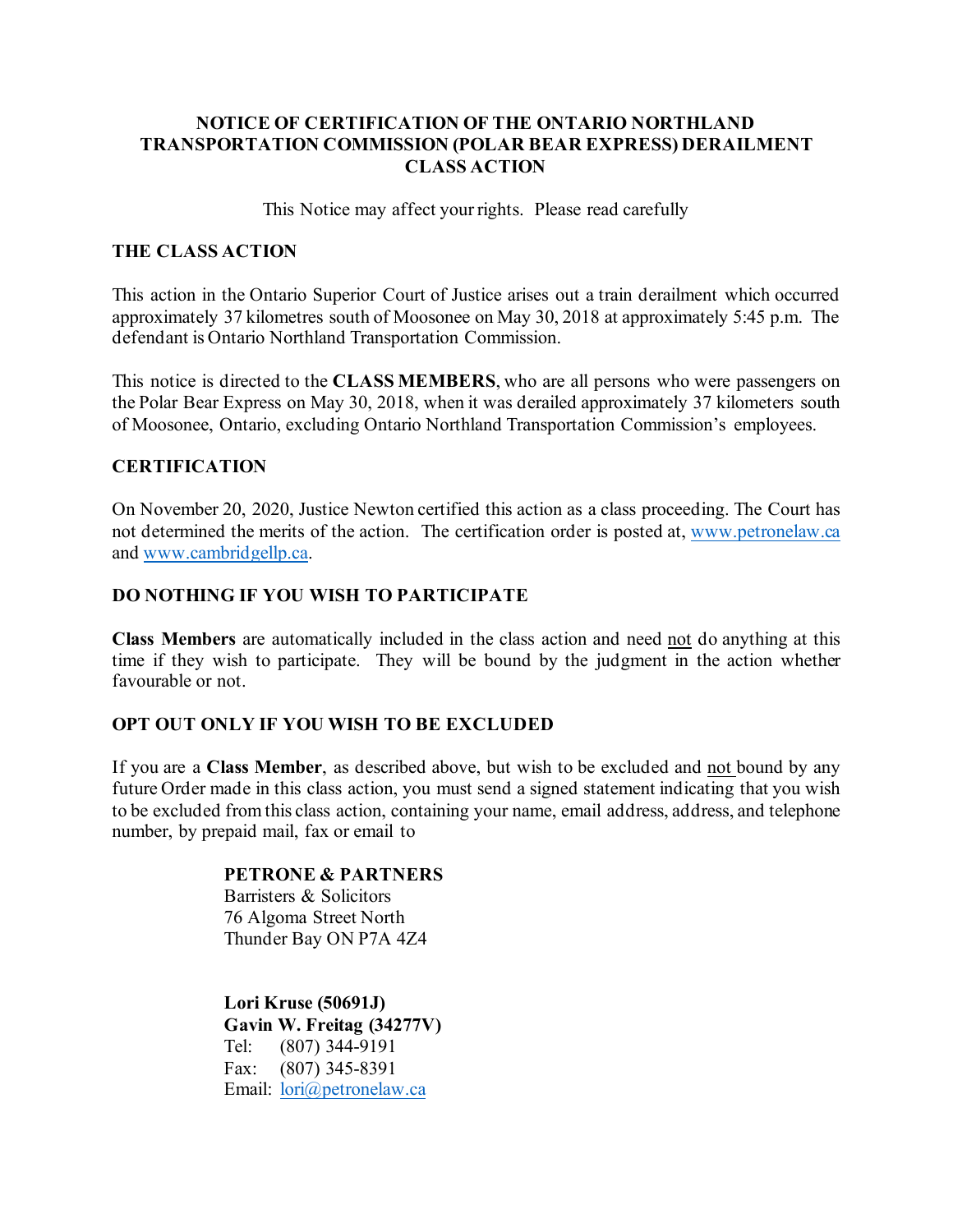# **NOTICE OF CERTIFICATION OF THE ONTARIO NORTHLAND TRANSPORTATION COMMISSION (POLAR BEAR EXPRESS) DERAILMENT CLASS ACTION**

This Notice may affect your rights. Please read carefully

## **THE CLASS ACTION**

This action in the Ontario Superior Court of Justice arises out a train derailment which occurred approximately 37 kilometres south of Moosonee on May 30, 2018 at approximately 5:45 p.m. The defendant is Ontario Northland Transportation Commission.

This notice is directed to the **CLASS MEMBERS**, who are all persons who were passengers on the Polar Bear Express on May 30, 2018, when it was derailed approximately 37 kilometers south of Moosonee, Ontario, excluding Ontario Northland Transportation Commission's employees.

## **CERTIFICATION**

On November 20, 2020, Justice Newton certified this action as a class proceeding. The Court has not determined the merits of the action. The certification order is posted at, [www.petronelaw.ca](http://www.petronelaw.ca/) and [www.cambridgellp.ca.](http://www.cambridgellp.ca/)

# **DO NOTHING IF YOU WISH TO PARTICIPATE**

**Class Members** are automatically included in the class action and need not do anything at this time if they wish to participate. They will be bound by the judgment in the action whether favourable or not.

## **OPT OUT ONLY IF YOU WISH TO BE EXCLUDED**

If you are a **Class Member**, as described above, but wish to be excluded and not bound by any future Order made in this class action, you must send a signed statement indicating that you wish to be excluded from this class action, containing your name, email address, address, and telephone number, by prepaid mail, fax or email to

#### **PETRONE & PARTNERS**

Barristers & Solicitors 76 Algoma Street North Thunder Bay ON P7A 4Z4

**Lori Kruse (50691J) Gavin W. Freitag (34277V)** Tel: (807) 344-9191 Fax: (807) 345-8391 Email: [lori@petronelaw.ca](mailto:lori@petronelaw.ca)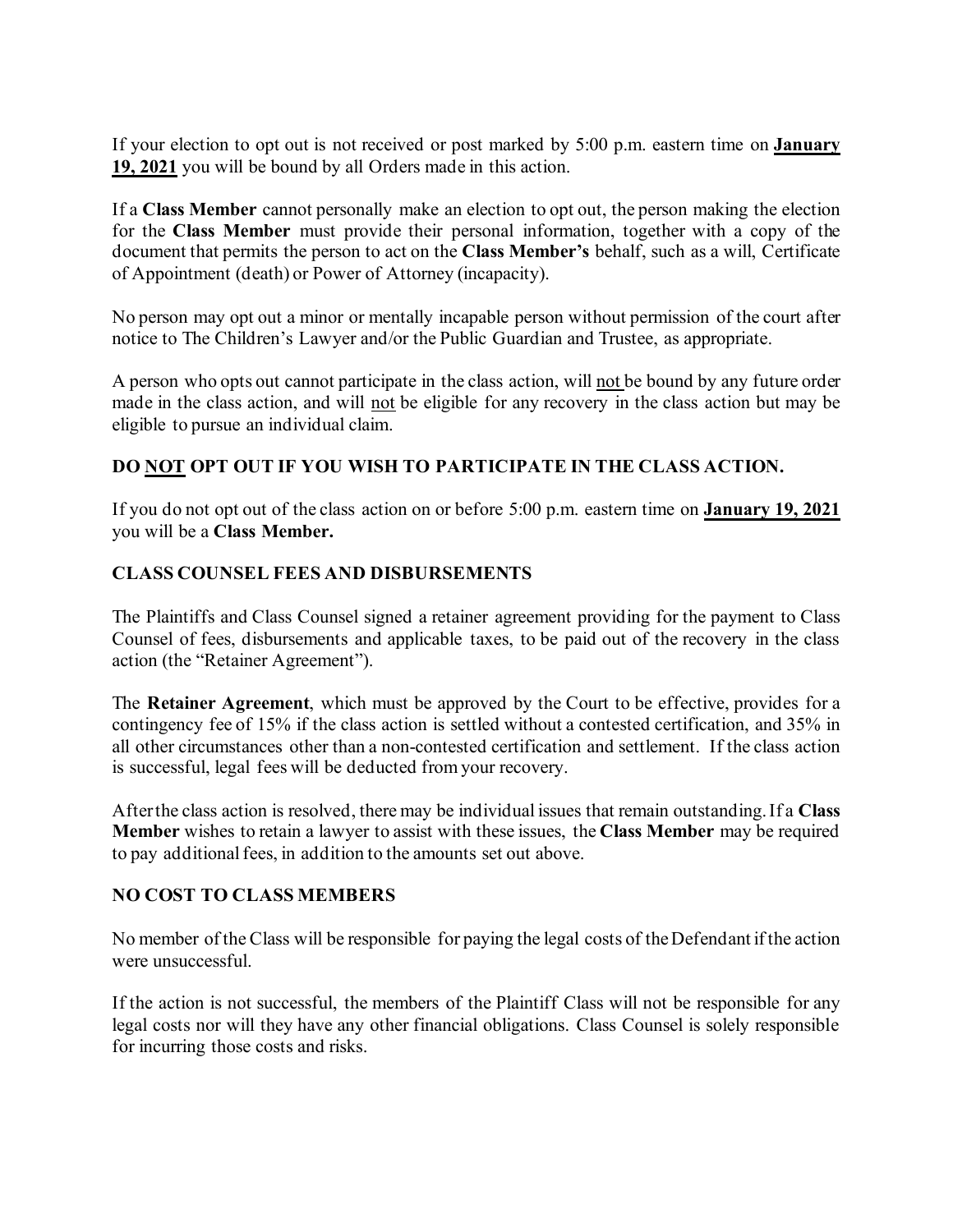If your election to opt out is not received or post marked by 5:00 p.m. eastern time on **January 19, 2021** you will be bound by all Orders made in this action.

If a **Class Member** cannot personally make an election to opt out, the person making the election for the **Class Member** must provide their personal information, together with a copy of the document that permits the person to act on the **Class Member's** behalf, such as a will, Certificate of Appointment (death) or Power of Attorney (incapacity).

No person may opt out a minor or mentally incapable person without permission of the court after notice to The Children's Lawyer and/or the Public Guardian and Trustee, as appropriate.

A person who opts out cannot participate in the class action, will not be bound by any future order made in the class action, and will not be eligible for any recovery in the class action but may be eligible to pursue an individual claim.

# **DO NOT OPT OUT IF YOU WISH TO PARTICIPATE IN THE CLASS ACTION.**

If you do not opt out of the class action on or before 5:00 p.m. eastern time on **January 19, 2021** you will be a **Class Member.** 

# **CLASS COUNSEL FEES AND DISBURSEMENTS**

The Plaintiffs and Class Counsel signed a retainer agreement providing for the payment to Class Counsel of fees, disbursements and applicable taxes, to be paid out of the recovery in the class action (the "Retainer Agreement").

The **Retainer Agreement**, which must be approved by the Court to be effective, provides for a contingency fee of 15% if the class action is settled without a contested certification, and 35% in all other circumstances other than a non-contested certification and settlement. If the class action is successful, legal fees will be deducted from your recovery.

After the class action is resolved, there may be individual issues that remain outstanding. If a **Class Member** wishes to retain a lawyer to assist with these issues, the **Class Member** may be required to pay additional fees, in addition to the amounts set out above.

## **NO COST TO CLASS MEMBERS**

No member of the Class will be responsible for paying the legal costs of the Defendant if the action were unsuccessful.

If the action is not successful, the members of the Plaintiff Class will not be responsible for any legal costs nor will they have any other financial obligations. Class Counsel is solely responsible for incurring those costs and risks.